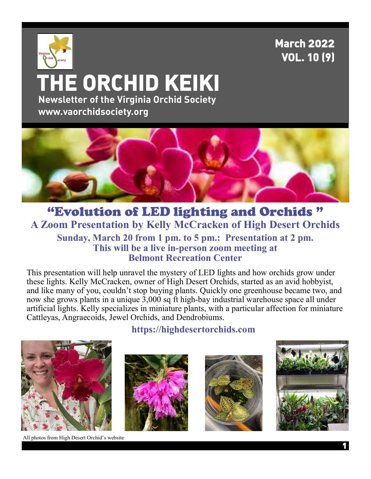## **March 2022 VOL. 10 (9)**

# Virginia  **THE ORCHID KEIKI Newsletter of the Virginia Orchid Society www.vaorchidsociety.org**



### "Evolution of LED lighting and Orchids " **A Zoom Presentation by Kelly McCracken of High Desert Orchids Sunday, March 20 from 1 pm. to 5 pm.: Presentation at 2 pm. This will be a live in-person zoom meeting at Belmont Recreation Center**

This presentation will help unravel the mystery of LED lights and how orchids grow under these lights. Kelly McCracken, owner of High Desert Orchids, started as an avid hobbyist, and like many of you, couldn't stop buying plants. Quickly one greenhouse became two, and now she grows plants in a unique 3,000 sq ft high-bay industrial warehouse space all under artificial lights. Kelly specializes in miniature plants, with a particular affection for miniature Cattleyas, Angraecoids, Jewel Orchids, and Dendrobiums.



**https://highdesertorchids.com**







All photos from High Desert Orchid's website